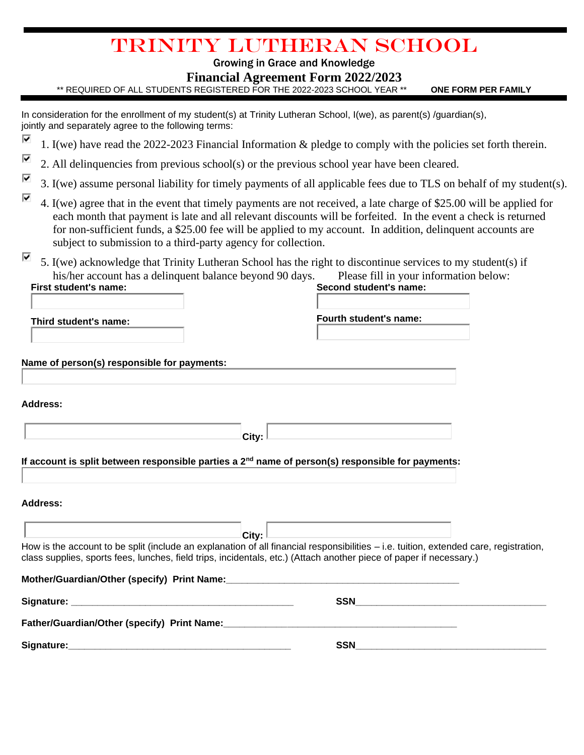# Trinity Lutheran School

## Growing in Grace and Knowledge

## **Financial Agreement Form 2022/2023**

\*\* REQUIRED OF ALL STUDENTS REGISTERED FOR THE 2022-2023 SCHOOL YEAR \*\* **ONE FORM PER FAMILY**

In consideration for the enrollment of my student(s) at Trinity Lutheran School, I(we), as parent(s) /quardian(s), jointly and separately agree to the following terms:

- ⊽ 1. I(we) have read the 2022-2023 Financial Information & pledge to comply with the policies set forth therein.
- $\overline{\mathbf{v}}$ 2. All delinquencies from previous school(s) or the previous school year have been cleared.
- ⊽ 3. I(we) assume personal liability for timely payments of all applicable fees due to TLS on behalf of my student(s).
- ⊽ 4. I(we) agree that in the event that timely payments are not received, a late charge of \$25.00 will be applied for each month that payment is late and all relevant discounts will be forfeited. In the event a check is returned for non-sufficient funds, a \$25.00 fee will be applied to my account. In addition, delinquent accounts are subject to submission to a third-party agency for collection.
- ⊽ 5. I(we) acknowledge that Trinity Lutheran School has the right to discontinue services to my student(s) if his/her account has a delinquent balance beyond 90 days. Please fill in your information below: **First student's name: Second student's name:**

**Third student's name: Fourth student's name:**

| Name of person(s) responsible for payments: |  |  |  |  |
|---------------------------------------------|--|--|--|--|
|                                             |  |  |  |  |

**Address:**

| Auurcss.                                                                                                                                                                                                                                                     |            |  |
|--------------------------------------------------------------------------------------------------------------------------------------------------------------------------------------------------------------------------------------------------------------|------------|--|
|                                                                                                                                                                                                                                                              | City:      |  |
| If account is split between responsible parties a 2 <sup>nd</sup> name of person(s) responsible for payments:                                                                                                                                                |            |  |
| Address:                                                                                                                                                                                                                                                     |            |  |
|                                                                                                                                                                                                                                                              | City:      |  |
| How is the account to be split (include an explanation of all financial responsibilities – i.e. tuition, extended care, registration,<br>class supplies, sports fees, lunches, field trips, incidentals, etc.) (Attach another piece of paper if necessary.) |            |  |
|                                                                                                                                                                                                                                                              |            |  |
|                                                                                                                                                                                                                                                              | SSN        |  |
|                                                                                                                                                                                                                                                              |            |  |
| Signature:                                                                                                                                                                                                                                                   | <b>SSN</b> |  |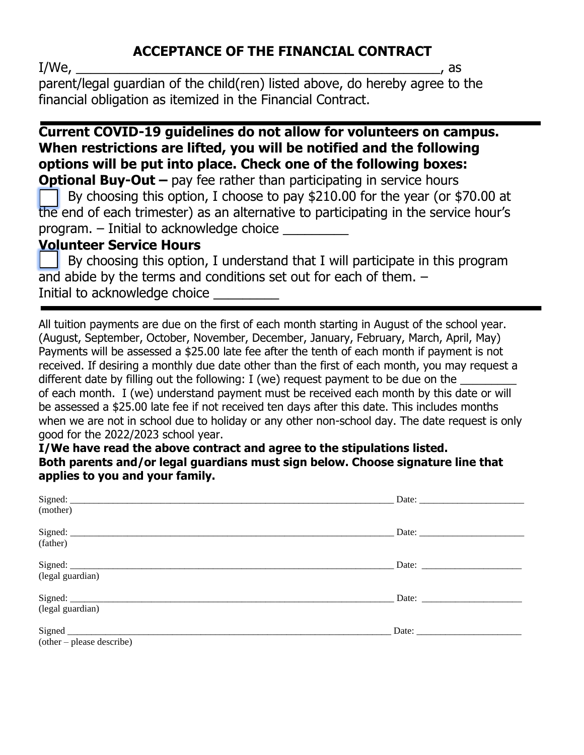## **ACCEPTANCE OF THE FINANCIAL CONTRACT**

 $I/We$ , as

parent/legal guardian of the child(ren) listed above, do hereby agree to the financial obligation as itemized in the Financial Contract.

## **Current COVID-19 guidelines do not allow for volunteers on campus. When restrictions are lifted, you will be notified and the following options will be put into place. Check one of the following boxes:**

**Optional Buy-Out** – pay fee rather than participating in service hours By choosing this option, I choose to pay \$210.00 for the year (or \$70.00 at the end of each trimester) as an alternative to participating in the service hour's program. – Initial to acknowledge choice \_\_\_\_\_\_\_\_\_

## **Volunteer Service Hours**

 By choosing this option, I understand that I will participate in this program and abide by the terms and conditions set out for each of them. – Initial to acknowledge choice

All tuition payments are due on the first of each month starting in August of the school year. (August, September, October, November, December, January, February, March, April, May) Payments will be assessed a \$25.00 late fee after the tenth of each month if payment is not received. If desiring a monthly due date other than the first of each month, you may request a different date by filling out the following: I (we) request payment to be due on the of each month. I (we) understand payment must be received each month by this date or will be assessed a \$25.00 late fee if not received ten days after this date. This includes months when we are not in school due to holiday or any other non-school day. The date request is only good for the 2022/2023 school year.

**I/We have read the above contract and agree to the stipulations listed. Both parents and/or legal guardians must sign below. Choose signature line that applies to you and your family.**

|                           | Date:                                                    |
|---------------------------|----------------------------------------------------------|
| (mother)                  |                                                          |
|                           | Date: $\frac{1}{\sqrt{1-\frac{1}{2}} \cdot \frac{1}{2}}$ |
| (father)                  |                                                          |
|                           | Date:                                                    |
| (legal guardian)          |                                                          |
|                           |                                                          |
| (legal guardian)          |                                                          |
|                           |                                                          |
| (other – please describe) |                                                          |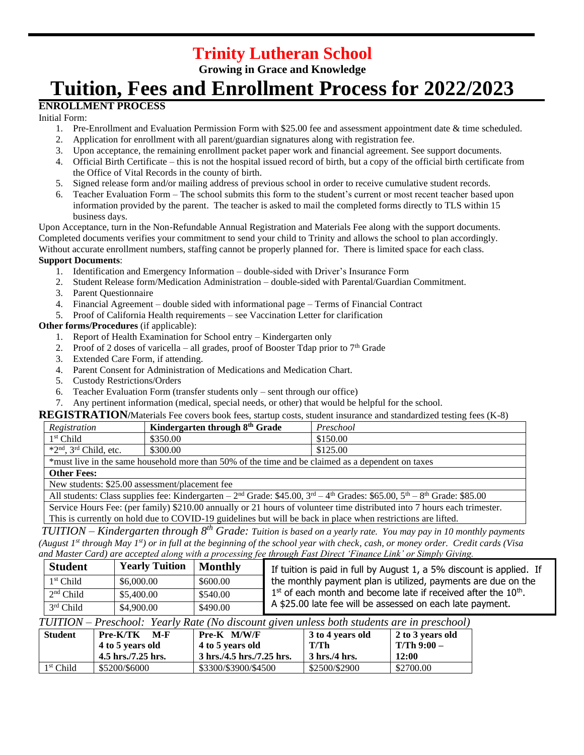# **Trinity Lutheran School**

**Growing in Grace and Knowledge**

# **Tuition, Fees and Enrollment Process for 2022/2023**

## **ENROLLMENT PROCESS**

Initial Form:

- 1. Pre-Enrollment and Evaluation Permission Form with \$25.00 fee and assessment appointment date & time scheduled.
- 2. Application for enrollment with all parent/guardian signatures along with registration fee.
- 3. Upon acceptance, the remaining enrollment packet paper work and financial agreement. See support documents.
- 4. Official Birth Certificate this is not the hospital issued record of birth, but a copy of the official birth certificate from the Office of Vital Records in the county of birth.
- 5. Signed release form and/or mailing address of previous school in order to receive cumulative student records.
- 6. Teacher Evaluation Form The school submits this form to the student's current or most recent teacher based upon information provided by the parent. The teacher is asked to mail the completed forms directly to TLS within 15 business days.

Upon Acceptance, turn in the Non-Refundable Annual Registration and Materials Fee along with the support documents. Completed documents verifies your commitment to send your child to Trinity and allows the school to plan accordingly. Without accurate enrollment numbers, staffing cannot be properly planned for. There is limited space for each class. **Support Documents**:

- 1. Identification and Emergency Information double-sided with Driver's Insurance Form
- 2. Student Release form/Medication Administration double-sided with Parental/Guardian Commitment.
- 3. Parent Questionnaire
- 4. Financial Agreement double sided with informational page Terms of Financial Contract
- 5. Proof of California Health requirements see Vaccination Letter for clarification

#### **Other forms/Procedures** (if applicable):

- 1. Report of Health Examination for School entry Kindergarten only
- 2. Proof of 2 doses of varicella all grades, proof of Booster Tdap prior to  $7<sup>th</sup>$  Grade
- 3. Extended Care Form, if attending.
- 4. Parent Consent for Administration of Medications and Medication Chart.
- 5. Custody Restrictions/Orders
- 6. Teacher Evaluation Form (transfer students only sent through our office)
- 7. Any pertinent information (medical, special needs, or other) that would be helpful for the school.

#### **REGISTRATION/**Materials Fee covers book fees, startup costs, student insurance and standardized testing fees (K-8)

| Registration                         | Kindergarten through 8 <sup>th</sup> Grade                                                        | Preschool |
|--------------------------------------|---------------------------------------------------------------------------------------------------|-----------|
| 1 <sup>st</sup> Child                | \$350.00                                                                                          | \$150.00  |
| $*2nd$ , 3 <sup>rd</sup> Child, etc. | \$300.00                                                                                          | \$125.00  |
|                                      | *must live in the same household more than 50% of the time and be claimed as a dependent on taxes |           |
|                                      |                                                                                                   |           |

#### **Other Fees:**

New students: \$25.00 assessment/placement fee

All students: Class supplies fee: Kindergarten – 2<sup>nd</sup> Grade: \$45.00, 3<sup>rd</sup> – 4<sup>th</sup> Grades: \$65.00, 5<sup>th</sup> – 8<sup>th</sup> Grade: \$85.00

Service Hours Fee: (per family) \$210.00 annually or 21 hours of volunteer time distributed into 7 hours each trimester. This is currently on hold due to COVID-19 guidelines but will be back in place when restrictions are lifted.

*TUITION – Kindergarten through 8th Grade: Tuition is based on a yearly rate. You may pay in 10 monthly payments (August 1st through May 1st) or in full at the beginning of the school year with check, cash, or money order. Credit cards (Visa* 

*and Master Card) are accepted along with a processing fee through Fast Direct 'Finance Link' or Simply Giving.*

| <b>Student</b> | <b>Yearly Tuition</b> | <b>Monthly</b> | If tuition is paid in full by August 1, a 5% discount is applied. If |
|----------------|-----------------------|----------------|----------------------------------------------------------------------|
| $1st$ Child    | \$6,000,00            | \$600.00       | the monthly payment plan is utilized, payments are due on the        |
| $2nd$ Child    | \$5,400.00            | \$540.00       | $1st$ of each month and become late if received after the $10th$ .   |
| $3rd$ Child    | \$4,900.00            | \$490.00       | A \$25.00 late fee will be assessed on each late payment.            |

#### *TUITION – Preschool: Yearly Rate (No discount given unless both students are in preschool)*

| <b>Student</b> | Pre-K/TK<br>M-F<br>4 to 5 years old<br>4.5 hrs./7.25 hrs. | Pre-K M/W/F<br>4 to 5 years old<br>3 hrs./4.5 hrs./7.25 hrs. | 3 to 4 years old<br>T/Th<br>$3 \text{ hrs.}/4 \text{ hrs.}$ | 2 to 3 years old<br>T/Th 9:00 –<br>12:00 |
|----------------|-----------------------------------------------------------|--------------------------------------------------------------|-------------------------------------------------------------|------------------------------------------|
| 1st Child      | \$5200/\$6000                                             | \$3300/\$3900/\$4500                                         | \$2500/\$2900                                               | \$2700.00                                |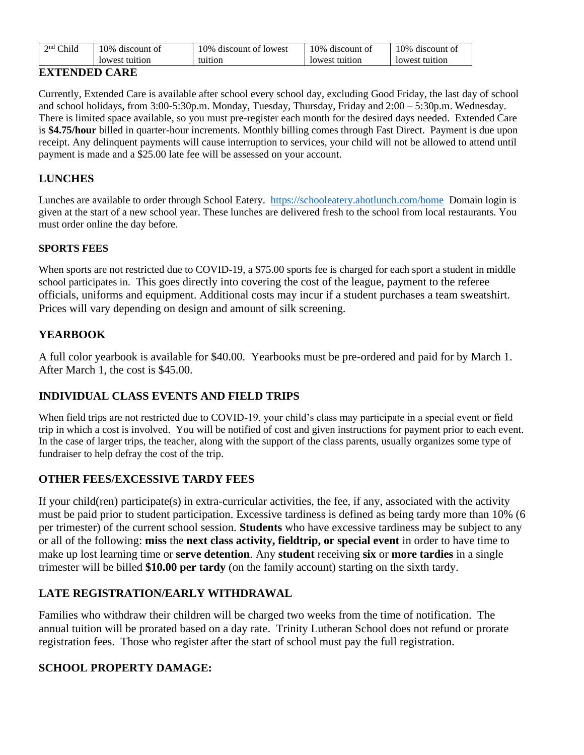| Child       | 0%             | 0%                 | 10%            | 10% discount of |
|-------------|----------------|--------------------|----------------|-----------------|
| $\gamma$ nd | discount of    | discount of lowest | discount of    |                 |
|             | lowest tuition | tuition            | lowest tuition | lowest tuition  |

## **EXTENDED CARE**

Currently, Extended Care is available after school every school day, excluding Good Friday, the last day of school and school holidays, from 3:00-5:30p.m. Monday, Tuesday, Thursday, Friday and 2:00 – 5:30p.m. Wednesday. There is limited space available, so you must pre-register each month for the desired days needed. Extended Care is **\$4.75/hour** billed in quarter-hour increments. Monthly billing comes through Fast Direct. Payment is due upon receipt. Any delinquent payments will cause interruption to services, your child will not be allowed to attend until payment is made and a \$25.00 late fee will be assessed on your account.

## **LUNCHES**

Lunches are available to order through School Eatery.<https://schooleatery.ahotlunch.com/home>Domain login is given at the start of a new school year. These lunches are delivered fresh to the school from local restaurants. You must order online the day before.

### **SPORTS FEES**

When sports are not restricted due to COVID-19, a \$75.00 sports fee is charged for each sport a student in middle school participates in. This goes directly into covering the cost of the league, payment to the referee officials, uniforms and equipment. Additional costs may incur if a student purchases a team sweatshirt. Prices will vary depending on design and amount of silk screening.

## **YEARBOOK**

A full color yearbook is available for \$40.00. Yearbooks must be pre-ordered and paid for by March 1. After March 1, the cost is \$45.00.

## **INDIVIDUAL CLASS EVENTS AND FIELD TRIPS**

When field trips are not restricted due to COVID-19, your child's class may participate in a special event or field trip in which a cost is involved. You will be notified of cost and given instructions for payment prior to each event. In the case of larger trips, the teacher, along with the support of the class parents, usually organizes some type of fundraiser to help defray the cost of the trip.

## **OTHER FEES/EXCESSIVE TARDY FEES**

If your child(ren) participate(s) in extra-curricular activities, the fee, if any, associated with the activity must be paid prior to student participation. Excessive tardiness is defined as being tardy more than 10% (6 per trimester) of the current school session. **Students** who have excessive tardiness may be subject to any or all of the following: **miss** the **next class activity, fieldtrip, or special event** in order to have time to make up lost learning time or **serve detention**. Any **student** receiving **six** or **more tardies** in a single trimester will be billed **\$10.00 per tardy** (on the family account) starting on the sixth tardy.

## **LATE REGISTRATION/EARLY WITHDRAWAL**

Families who withdraw their children will be charged two weeks from the time of notification. The annual tuition will be prorated based on a day rate. Trinity Lutheran School does not refund or prorate registration fees. Those who register after the start of school must pay the full registration.

## **SCHOOL PROPERTY DAMAGE:**